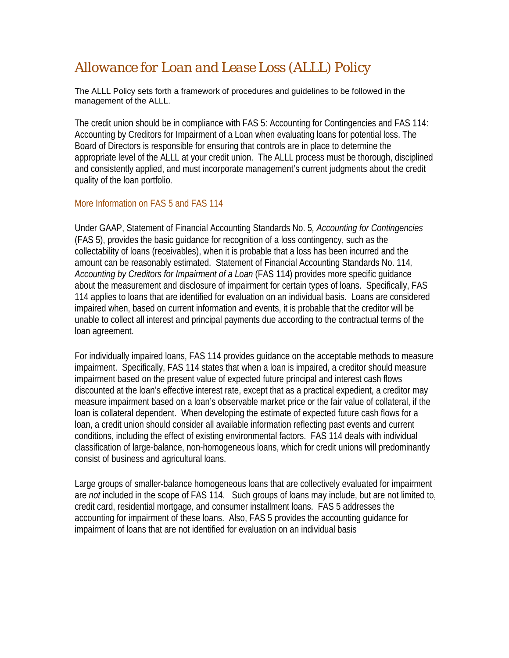## *Allowance for Loan and Lease Loss (ALLL) Policy*

The ALLL Policy sets forth a framework of procedures and guidelines to be followed in the management of the ALLL.

The credit union should be in compliance with FAS 5: Accounting for Contingencies and FAS 114: Accounting by Creditors for Impairment of a Loan when evaluating loans for potential loss. The Board of Directors is responsible for ensuring that controls are in place to determine the appropriate level of the ALLL at your credit union. The ALLL process must be thorough, disciplined and consistently applied, and must incorporate management's current judgments about the credit quality of the loan portfolio.

## More Information on FAS 5 and FAS 114

Under GAAP, Statement of Financial Accounting Standards No. 5*, Accounting for Contingencies* (FAS 5), provides the basic guidance for recognition of a loss contingency, such as the collectability of loans (receivables), when it is probable that a loss has been incurred and the amount can be reasonably estimated. Statement of Financial Accounting Standards No. 114*, Accounting by Creditors for Impairment of a Loan* (FAS 114) provides more specific guidance about the measurement and disclosure of impairment for certain types of loans. Specifically, FAS 114 applies to loans that are identified for evaluation on an individual basis. Loans are considered impaired when, based on current information and events, it is probable that the creditor will be unable to collect all interest and principal payments due according to the contractual terms of the loan agreement.

For individually impaired loans, FAS 114 provides guidance on the acceptable methods to measure impairment. Specifically, FAS 114 states that when a loan is impaired, a creditor should measure impairment based on the present value of expected future principal and interest cash flows discounted at the loan's effective interest rate, except that as a practical expedient, a creditor may measure impairment based on a loan's observable market price or the fair value of collateral, if the loan is collateral dependent. When developing the estimate of expected future cash flows for a loan, a credit union should consider all available information reflecting past events and current conditions, including the effect of existing environmental factors. FAS 114 deals with individual classification of large-balance, non-homogeneous loans, which for credit unions will predominantly consist of business and agricultural loans.

Large groups of smaller-balance homogeneous loans that are collectively evaluated for impairment are *not* included in the scope of FAS 114. Such groups of loans may include, but are not limited to, credit card, residential mortgage, and consumer installment loans. FAS 5 addresses the accounting for impairment of these loans. Also, FAS 5 provides the accounting guidance for impairment of loans that are not identified for evaluation on an individual basis